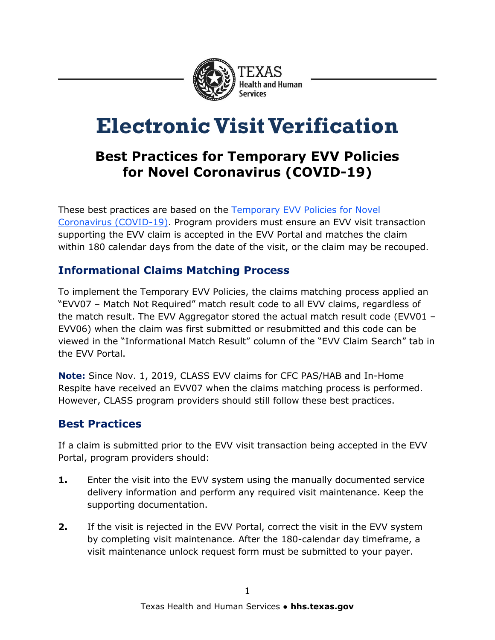

# **Electronic Visit Verification**

# **Best Practices for Temporary EVV Policies for Novel Coronavirus (COVID-19)**

These best practices are based on the [Temporary EVV Policies for](https://hhs.texas.gov/sites/default/files/documents/doing-business-with-hhs/provider-portal/resources/electronic-visit-verification/temporary-evv-policies-for-novel-coronavirus.pdf) Novel Coronavirus [\(COVID-19\).](https://hhs.texas.gov/sites/default/files/documents/doing-business-with-hhs/provider-portal/resources/electronic-visit-verification/temporary-evv-policies-for-novel-coronavirus.pdf) Program providers must ensure an EVV visit transaction supporting the EVV claim is accepted in the EVV Portal and matches the claim within 180 calendar days from the date of the visit, or the claim may be recouped.

## **Informational Claims Matching Process**

To implement the Temporary EVV Policies, the claims matching process applied an "EVV07 – Match Not Required" match result code to all EVV claims, regardless of the match result. The EVV Aggregator stored the actual match result code (EVV01 – EVV06) when the claim was first submitted or resubmitted and this code can be viewed in the "Informational Match Result" column of the "EVV Claim Search" tab in the EVV Portal.

**Note:** Since Nov. 1, 2019, CLASS EVV claims for CFC PAS/HAB and In-Home Respite have received an EVV07 when the claims matching process is performed. However, CLASS program providers should still follow these best practices.

# **Best Practices**

If a claim is submitted prior to the EVV visit transaction being accepted in the EVV Portal, program providers should:

- **1.** Enter the visit into the EVV system using the manually documented service delivery information and perform any required visit maintenance. Keep the supporting documentation.
- **2.** If the visit is rejected in the EVV Portal, correct the visit in the EVV system by completing visit maintenance. After the 180-calendar day timeframe, a visit maintenance unlock request form must be submitted to your payer.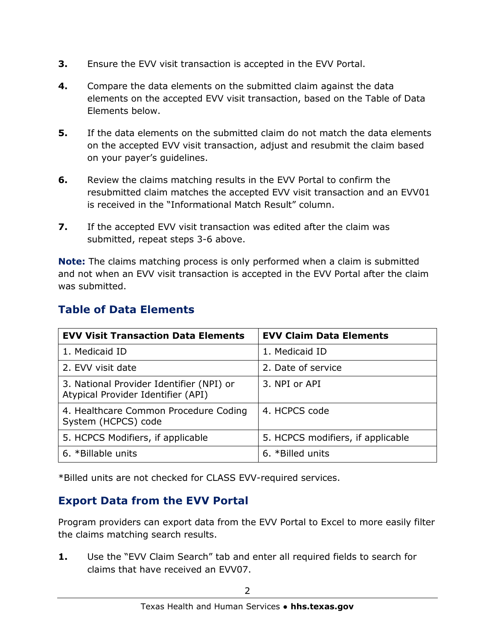- **3.** Ensure the EVV visit transaction is accepted in the EVV Portal.
- **4.** Compare the data elements on the submitted claim against the data elements on the accepted EVV visit transaction, based on the Table of Data Elements below.
- **5.** If the data elements on the submitted claim do not match the data elements on the accepted EVV visit transaction, adjust and resubmit the claim based on your payer's guidelines.
- **6.** Review the claims matching results in the EVV Portal to confirm the resubmitted claim matches the accepted EVV visit transaction and an EVV01 is received in the "Informational Match Result" column.
- **7.** If the accepted EVV visit transaction was edited after the claim was submitted, repeat steps 3-6 above.

**Note:** The claims matching process is only performed when a claim is submitted and not when an EVV visit transaction is accepted in the EVV Portal after the claim was submitted.

| <b>EVV Visit Transaction Data Elements</b>                                     | <b>EVV Claim Data Elements</b>    |
|--------------------------------------------------------------------------------|-----------------------------------|
| 1. Medicaid ID                                                                 | 1. Medicaid ID                    |
| 2. EVV visit date                                                              | 2. Date of service                |
| 3. National Provider Identifier (NPI) or<br>Atypical Provider Identifier (API) | 3. NPI or API                     |
| 4. Healthcare Common Procedure Coding<br>System (HCPCS) code                   | 4. HCPCS code                     |
| 5. HCPCS Modifiers, if applicable                                              | 5. HCPCS modifiers, if applicable |
| 6. *Billable units                                                             | 6. *Billed units                  |

#### **Table of Data Elements**

\*Billed units are not checked for CLASS EVV-required services.

#### **Export Data from the EVV Portal**

Program providers can export data from the EVV Portal to Excel to more easily filter the claims matching search results.

**1.** Use the "EVV Claim Search" tab and enter all required fields to search for claims that have received an EVV07.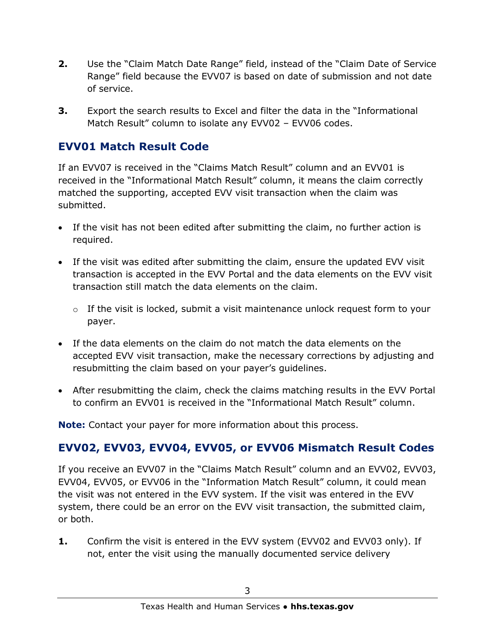- **2.** Use the "Claim Match Date Range" field, instead of the "Claim Date of Service Range" field because the EVV07 is based on date of submission and not date of service.
- **3.** Export the search results to Excel and filter the data in the "Informational Match Result" column to isolate any EVV02 – EVV06 codes.

#### **EVV01 Match Result Code**

If an EVV07 is received in the "Claims Match Result" column and an EVV01 is received in the "Informational Match Result" column, it means the claim correctly matched the supporting, accepted EVV visit transaction when the claim was submitted.

- If the visit has not been edited after submitting the claim, no further action is required.
- If the visit was edited after submitting the claim, ensure the updated EVV visit transaction is accepted in the EVV Portal and the data elements on the EVV visit transaction still match the data elements on the claim.
	- $\circ$  If the visit is locked, submit a visit maintenance unlock request form to your payer.
- If the data elements on the claim do not match the data elements on the accepted EVV visit transaction, make the necessary corrections by adjusting and resubmitting the claim based on your payer's guidelines.
- After resubmitting the claim, check the claims matching results in the EVV Portal to confirm an EVV01 is received in the "Informational Match Result" column.

**Note:** Contact your payer for more information about this process.

# **EVV02, EVV03, EVV04, EVV05, or EVV06 Mismatch Result Codes**

If you receive an EVV07 in the "Claims Match Result" column and an EVV02, EVV03, EVV04, EVV05, or EVV06 in the "Information Match Result" column, it could mean the visit was not entered in the EVV system. If the visit was entered in the EVV system, there could be an error on the EVV visit transaction, the submitted claim, or both.

**1.** Confirm the visit is entered in the EVV system (EVV02 and EVV03 only). If not, enter the visit using the manually documented service delivery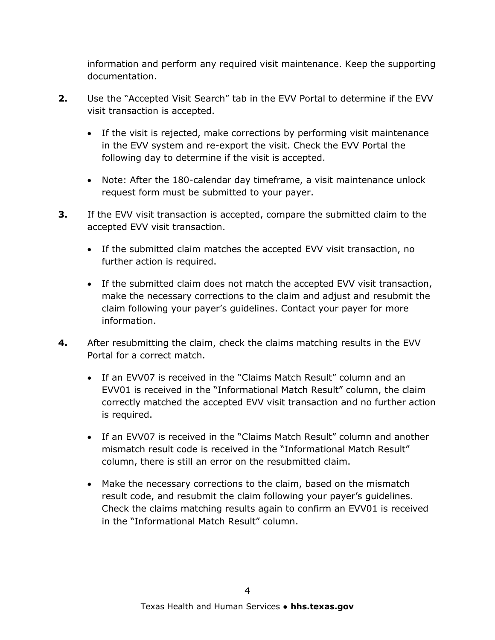information and perform any required visit maintenance. Keep the supporting documentation.

- **2.** Use the "Accepted Visit Search" tab in the EVV Portal to determine if the EVV visit transaction is accepted.
	- If the visit is rejected, make corrections by performing visit maintenance in the EVV system and re-export the visit. Check the EVV Portal the following day to determine if the visit is accepted.
	- Note: After the 180-calendar day timeframe, a visit maintenance unlock request form must be submitted to your payer.
- **3.** If the EVV visit transaction is accepted, compare the submitted claim to the accepted EVV visit transaction.
	- If the submitted claim matches the accepted EVV visit transaction, no further action is required.
	- If the submitted claim does not match the accepted EVV visit transaction, make the necessary corrections to the claim and adjust and resubmit the claim following your payer's guidelines. Contact your payer for more information.
- **4.** After resubmitting the claim, check the claims matching results in the EVV Portal for a correct match.
	- If an EVV07 is received in the "Claims Match Result" column and an EVV01 is received in the "Informational Match Result" column, the claim correctly matched the accepted EVV visit transaction and no further action is required.
	- If an EVV07 is received in the "Claims Match Result" column and another mismatch result code is received in the "Informational Match Result" column, there is still an error on the resubmitted claim.
	- Make the necessary corrections to the claim, based on the mismatch result code, and resubmit the claim following your payer's guidelines. Check the claims matching results again to confirm an EVV01 is received in the "Informational Match Result" column.